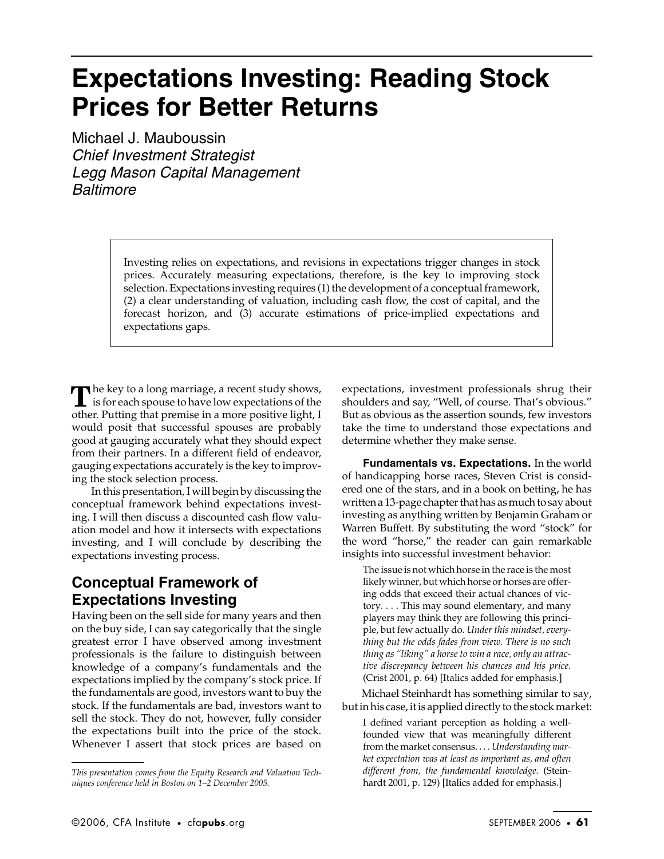# **Expectations Investing: Reading Stock Prices for Better Returns**

Michael J. Mauboussin Chief Investment Strategist Legg Mason Capital Management Baltimore

> Investing relies on expectations, and revisions in expectations trigger changes in stock prices. Accurately measuring expectations, therefore, is the key to improving stock selection. Expectations investing requires (1) the development of a conceptual framework, (2) a clear understanding of valuation, including cash flow, the cost of capital, and the forecast horizon, and (3) accurate estimations of price-implied expectations and expectations gaps.

The key to a long marriage, a recent study shows, The key to a long marriage, a recent study shows,<br>is for each spouse to have low expectations of the other. Putting that premise in a more positive light, I would posit that successful spouses are probably good at gauging accurately what they should expect from their partners. In a different field of endeavor, gauging expectations accurately is the key to improving the stock selection process.

In this presentation, I will begin by discussing the conceptual framework behind expectations investing. I will then discuss a discounted cash flow valuation model and how it intersects with expectations investing, and I will conclude by describing the expectations investing process.

## **Conceptual Framework of Expectations Investing**

Having been on the sell side for many years and then on the buy side, I can say categorically that the single greatest error I have observed among investment professionals is the failure to distinguish between knowledge of a company's fundamentals and the expectations implied by the company's stock price. If the fundamentals are good, investors want to buy the stock. If the fundamentals are bad, investors want to sell the stock. They do not, however, fully consider the expectations built into the price of the stock. Whenever I assert that stock prices are based on

expectations, investment professionals shrug their shoulders and say, "Well, of course. That's obvious." But as obvious as the assertion sounds, few investors take the time to understand those expectations and determine whether they make sense.

**Fundamentals vs. Expectations.** In the world of handicapping horse races, Steven Crist is considered one of the stars, and in a book on betting, he has written a 13-page chapter that has as much to say about investing as anything written by Benjamin Graham or Warren Buffett. By substituting the word "stock" for the word "horse," the reader can gain remarkable insights into successful investment behavior:

The issue is not which horse in the race is the most likely winner, but which horse or horses are offering odds that exceed their actual chances of victory. . . . This may sound elementary, and many players may think they are following this principle, but few actually do. *Under this mindset, everything but the odds fades from view. There is no such thing as "liking" a horse to win a race, only an attractive discrepancy between his chances and his price.* (Crist 2001, p. 64) [Italics added for emphasis.]

Michael Steinhardt has something similar to say, but in his case, it is applied directly to the stock market:

I defined variant perception as holding a wellfounded view that was meaningfully different from the market consensus. . . . *Understanding market expectation was at least as important as, and often different from, the fundamental knowledge.* (Steinhardt 2001, p. 129) [Italics added for emphasis.]

*This presentation comes from the Equity Research and Valuation Techniques conference held in Boston on 1–2 December 2005.*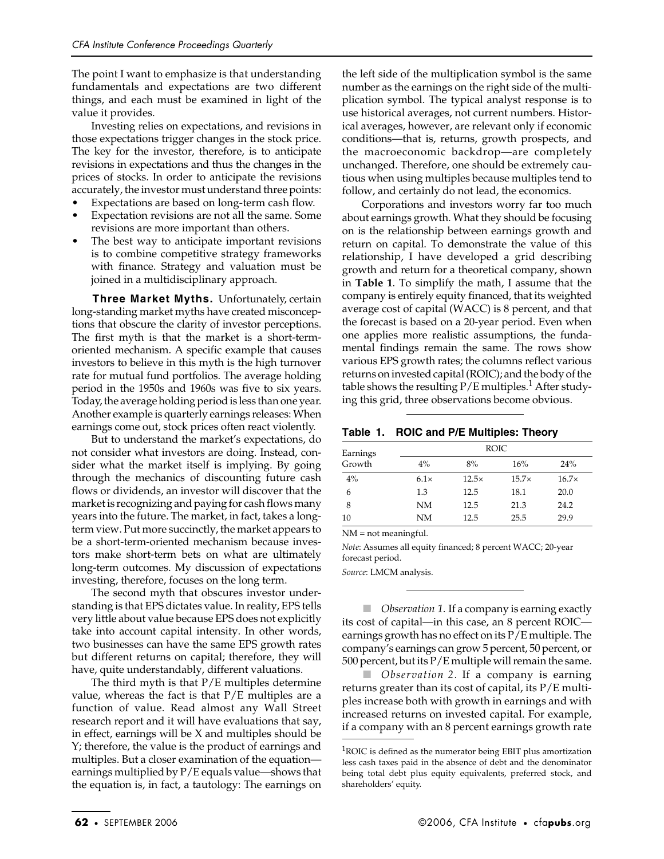The point I want to emphasize is that understanding fundamentals and expectations are two different things, and each must be examined in light of the value it provides.

Investing relies on expectations, and revisions in those expectations trigger changes in the stock price. The key for the investor, therefore, is to anticipate revisions in expectations and thus the changes in the prices of stocks. In order to anticipate the revisions accurately, the investor must understand three points:

- Expectations are based on long-term cash flow.
- Expectation revisions are not all the same. Some revisions are more important than others.
- The best way to anticipate important revisions is to combine competitive strategy frameworks with finance. Strategy and valuation must be joined in a multidisciplinary approach.

**Three Market Myths.** Unfortunately, certain long-standing market myths have created misconceptions that obscure the clarity of investor perceptions. The first myth is that the market is a short-termoriented mechanism. A specific example that causes investors to believe in this myth is the high turnover rate for mutual fund portfolios. The average holding period in the 1950s and 1960s was five to six years. Today, the average holding period is less than one year. Another example is quarterly earnings releases: When earnings come out, stock prices often react violently.

But to understand the market's expectations, do not consider what investors are doing. Instead, consider what the market itself is implying. By going through the mechanics of discounting future cash flows or dividends, an investor will discover that the market is recognizing and paying for cash flows many years into the future. The market, in fact, takes a longterm view. Put more succinctly, the market appears to be a short-term-oriented mechanism because investors make short-term bets on what are ultimately long-term outcomes. My discussion of expectations investing, therefore, focuses on the long term.

The second myth that obscures investor understanding is that EPS dictates value. In reality, EPS tells very little about value because EPS does not explicitly take into account capital intensity. In other words, two businesses can have the same EPS growth rates but different returns on capital; therefore, they will have, quite understandably, different valuations.

The third myth is that  $P/E$  multiples determine value, whereas the fact is that  $P/E$  multiples are a function of value. Read almost any Wall Street research report and it will have evaluations that say, in effect, earnings will be X and multiples should be Y; therefore, the value is the product of earnings and multiples. But a closer examination of the equation earnings multiplied by P/E equals value—shows that the equation is, in fact, a tautology: The earnings on

the left side of the multiplication symbol is the same number as the earnings on the right side of the multiplication symbol. The typical analyst response is to use historical averages, not current numbers. Historical averages, however, are relevant only if economic conditions—that is, returns, growth prospects, and the macroeconomic backdrop—are completely unchanged. Therefore, one should be extremely cautious when using multiples because multiples tend to follow, and certainly do not lead, the economics.

Corporations and investors worry far too much about earnings growth. What they should be focusing on is the relationship between earnings growth and return on capital. To demonstrate the value of this relationship, I have developed a grid describing growth and return for a theoretical company, shown in **Table 1**. To simplify the math, I assume that the company is entirely equity financed, that its weighted average cost of capital (WACC) is 8 percent, and that the forecast is based on a 20-year period. Even when one applies more realistic assumptions, the fundamental findings remain the same. The rows show various EPS growth rates; the columns reflect various returns on invested capital (ROIC); and the body of the table shows the resulting  $P/E$  multiples.<sup>1</sup> After studying this grid, three observations become obvious.

| Table 1. ROIC and P/E Multiples: Theory |
|-----------------------------------------|
|-----------------------------------------|

| Earnings | <b>ROIC</b> |              |              |              |  |  |
|----------|-------------|--------------|--------------|--------------|--|--|
| Growth   | $4\%$       | 8%           | 16%          | 24%          |  |  |
| $4\%$    | $6.1\times$ | $12.5\times$ | $15.7\times$ | $16.7\times$ |  |  |
| 6        | 1.3         | 12.5         | 18.1         | 20.0         |  |  |
| 8        | NM          | 12.5         | 21.3         | 24.2         |  |  |
| 10       | NΜ          | 12.5         | 25.5         | 29.9         |  |  |

NM = not meaningful.

*Note*: Assumes all equity financed; 8 percent WACC; 20-year forecast period.

*Source*: LMCM analysis.

■ *Observation 1*. If a company is earning exactly its cost of capital—in this case, an 8 percent ROIC earnings growth has no effect on its P/E multiple. The company's earnings can grow 5 percent, 50 percent, or 500 percent, but its P/E multiple will remain the same.

■ *Observation* 2. If a company is earning returns greater than its cost of capital, its P/E multiples increase both with growth in earnings and with increased returns on invested capital. For example, if a company with an 8 percent earnings growth rate

 ${}^{1}$ ROIC is defined as the numerator being EBIT plus amortization less cash taxes paid in the absence of debt and the denominator being total debt plus equity equivalents, preferred stock, and shareholders' equity.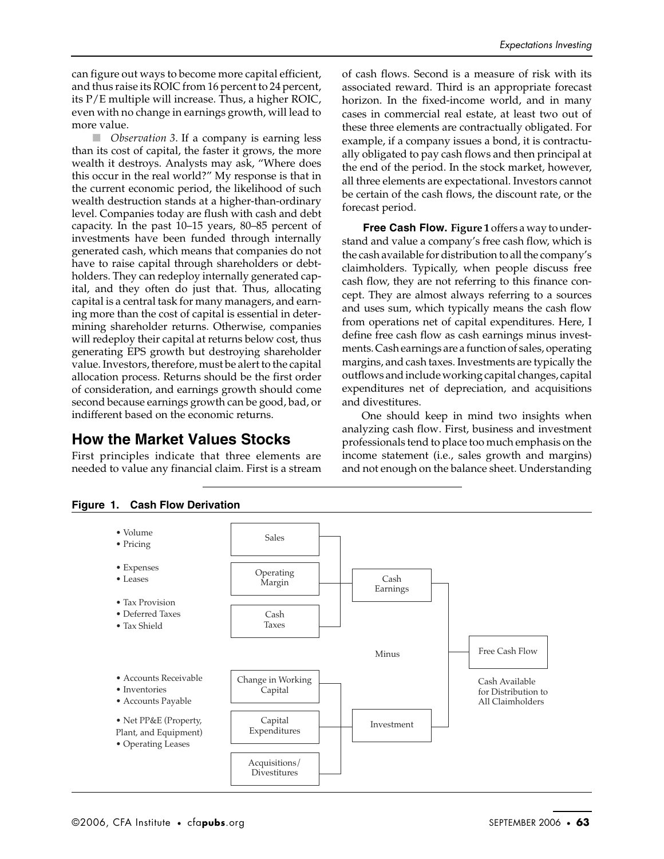can figure out ways to become more capital efficient, and thus raise its ROIC from 16 percent to 24 percent, its P/E multiple will increase. Thus, a higher ROIC, even with no change in earnings growth, will lead to more value.

■ *Observation 3*. If a company is earning less than its cost of capital, the faster it grows, the more wealth it destroys. Analysts may ask, "Where does this occur in the real world?" My response is that in the current economic period, the likelihood of such wealth destruction stands at a higher-than-ordinary level. Companies today are flush with cash and debt capacity. In the past 10–15 years, 80–85 percent of investments have been funded through internally generated cash, which means that companies do not have to raise capital through shareholders or debtholders. They can redeploy internally generated capital, and they often do just that. Thus, allocating capital is a central task for many managers, and earning more than the cost of capital is essential in determining shareholder returns. Otherwise, companies will redeploy their capital at returns below cost, thus generating EPS growth but destroying shareholder value. Investors, therefore, must be alert to the capital allocation process. Returns should be the first order of consideration, and earnings growth should come second because earnings growth can be good, bad, or indifferent based on the economic returns.

### **How the Market Values Stocks**

First principles indicate that three elements are needed to value any financial claim. First is a stream of cash flows. Second is a measure of risk with its associated reward. Third is an appropriate forecast horizon. In the fixed-income world, and in many cases in commercial real estate, at least two out of these three elements are contractually obligated. For example, if a company issues a bond, it is contractually obligated to pay cash flows and then principal at the end of the period. In the stock market, however, all three elements are expectational. Investors cannot be certain of the cash flows, the discount rate, or the forecast period.

**Free Cash Flow. Figure 1** offers a way to understand and value a company's free cash flow, which is the cash available for distribution to all the company's claimholders. Typically, when people discuss free cash flow, they are not referring to this finance concept. They are almost always referring to a sources and uses sum, which typically means the cash flow from operations net of capital expenditures. Here, I define free cash flow as cash earnings minus investments. Cash earnings are a function of sales, operating margins, and cash taxes. Investments are typically the outflows and include working capital changes, capital expenditures net of depreciation, and acquisitions and divestitures.

One should keep in mind two insights when analyzing cash flow. First, business and investment professionals tend to place too much emphasis on the income statement (i.e., sales growth and margins) and not enough on the balance sheet. Understanding



#### **Figure 1. Cash Flow Derivation**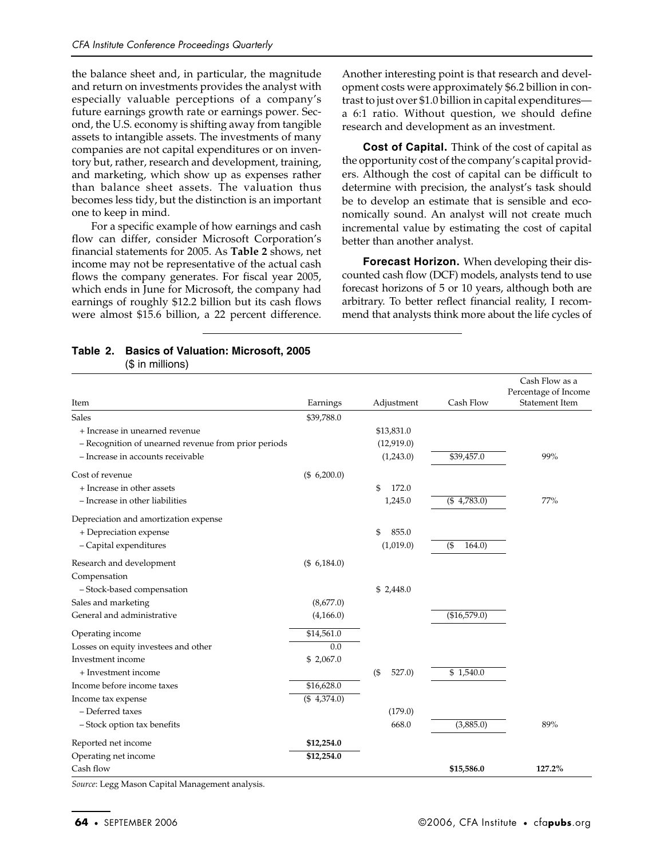the balance sheet and, in particular, the magnitude and return on investments provides the analyst with especially valuable perceptions of a company's future earnings growth rate or earnings power. Second, the U.S. economy is shifting away from tangible assets to intangible assets. The investments of many companies are not capital expenditures or on inventory but, rather, research and development, training, and marketing, which show up as expenses rather than balance sheet assets. The valuation thus becomes less tidy, but the distinction is an important one to keep in mind.

For a specific example of how earnings and cash flow can differ, consider Microsoft Corporation's financial statements for 2005. As **Table 2** shows, net income may not be representative of the actual cash flows the company generates. For fiscal year 2005, which ends in June for Microsoft, the company had earnings of roughly \$12.2 billion but its cash flows were almost \$15.6 billion, a 22 percent difference. Another interesting point is that research and development costs were approximately \$6.2 billion in contrast to just over \$1.0 billion in capital expenditures a 6:1 ratio. Without question, we should define research and development as an investment.

**Cost of Capital.** Think of the cost of capital as the opportunity cost of the company's capital providers. Although the cost of capital can be difficult to determine with precision, the analyst's task should be to develop an estimate that is sensible and economically sound. An analyst will not create much incremental value by estimating the cost of capital better than another analyst.

**Forecast Horizon.** When developing their discounted cash flow (DCF) models, analysts tend to use forecast horizons of 5 or 10 years, although both are arbitrary. To better reflect financial reality, I recommend that analysts think more about the life cycles of

#### **Table 2. Basics of Valuation: Microsoft, 2005** (\$ in millions)

| Item                                                 | Earnings        | Adjustment      | Cash Flow       | Cash Flow as a<br>Percentage of Income<br>Statement Item |
|------------------------------------------------------|-----------------|-----------------|-----------------|----------------------------------------------------------|
| Sales                                                | \$39,788.0      |                 |                 |                                                          |
| + Increase in unearned revenue                       |                 | \$13,831.0      |                 |                                                          |
| - Recognition of unearned revenue from prior periods |                 | (12,919.0)      |                 |                                                          |
| - Increase in accounts receivable                    |                 | (1,243.0)       | \$39,457.0      | 99%                                                      |
| Cost of revenue                                      | (\$6,200.0)     |                 |                 |                                                          |
| + Increase in other assets                           |                 | 172.0<br>\$     |                 |                                                          |
| - Increase in other liabilities                      |                 | 1,245.0         | $($ \$4,783.0)  | <b>77%</b>                                               |
| Depreciation and amortization expense                |                 |                 |                 |                                                          |
| + Depreciation expense                               |                 | 855.0<br>\$     |                 |                                                          |
| - Capital expenditures                               |                 | (1,019.0)       | 164.0<br>$($ \$ |                                                          |
| Research and development                             | $($ \$ 6,184.0) |                 |                 |                                                          |
| Compensation                                         |                 |                 |                 |                                                          |
| - Stock-based compensation                           |                 | \$2,448.0       |                 |                                                          |
| Sales and marketing                                  | (8,677.0)       |                 |                 |                                                          |
| General and administrative                           | (4,166.0)       |                 | (\$16,579.0)    |                                                          |
| Operating income                                     | \$14,561.0      |                 |                 |                                                          |
| Losses on equity investees and other                 | 0.0             |                 |                 |                                                          |
| Investment income                                    | \$2,067.0       |                 |                 |                                                          |
| + Investment income                                  |                 | $($ \$<br>527.0 | \$1,540.0       |                                                          |
| Income before income taxes                           | \$16,628.0      |                 |                 |                                                          |
| Income tax expense                                   | (\$4,374.0)     |                 |                 |                                                          |
| - Deferred taxes                                     |                 | (179.0)         |                 |                                                          |
| - Stock option tax benefits                          |                 | 668.0           | (3,885.0)       | 89%                                                      |
| Reported net income                                  | \$12,254.0      |                 |                 |                                                          |
| Operating net income                                 | \$12,254.0      |                 |                 |                                                          |
| Cash flow                                            |                 |                 | \$15,586.0      | 127.2%                                                   |

*Source*: Legg Mason Capital Management analysis.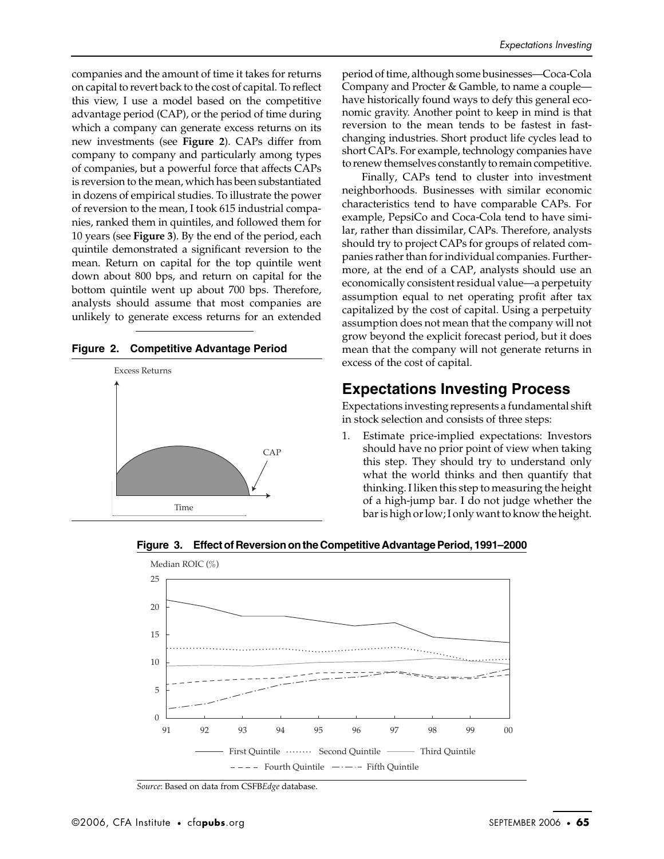companies and the amount of time it takes for returns on capital to revert back to the cost of capital. To reflect this view, I use a model based on the competitive advantage period (CAP), or the period of time during which a company can generate excess returns on its new investments (see **Figure 2**). CAPs differ from company to company and particularly among types of companies, but a powerful force that affects CAPs is reversion to the mean, which has been substantiated in dozens of empirical studies. To illustrate the power of reversion to the mean, I took 615 industrial companies, ranked them in quintiles, and followed them for 10 years (see **Figure 3**). By the end of the period, each quintile demonstrated a significant reversion to the mean. Return on capital for the top quintile went down about 800 bps, and return on capital for the bottom quintile went up about 700 bps. Therefore, analysts should assume that most companies are unlikely to generate excess returns for an extended





period of time, although some businesses—Coca-Cola Company and Procter & Gamble, to name a couple have historically found ways to defy this general economic gravity. Another point to keep in mind is that reversion to the mean tends to be fastest in fastchanging industries. Short product life cycles lead to short CAPs. For example, technology companies have to renew themselves constantly to remain competitive.

Finally, CAPs tend to cluster into investment neighborhoods. Businesses with similar economic characteristics tend to have comparable CAPs. For example, PepsiCo and Coca-Cola tend to have similar, rather than dissimilar, CAPs. Therefore, analysts should try to project CAPs for groups of related companies rather than for individual companies. Furthermore, at the end of a CAP, analysts should use an economically consistent residual value—a perpetuity assumption equal to net operating profit after tax capitalized by the cost of capital. Using a perpetuity assumption does not mean that the company will not grow beyond the explicit forecast period, but it does mean that the company will not generate returns in excess of the cost of capital.

## **Expectations Investing Process**

Expectations investing represents a fundamental shift in stock selection and consists of three steps:

1. Estimate price-implied expectations: Investors should have no prior point of view when taking this step. They should try to understand only what the world thinks and then quantify that thinking. I liken this step to measuring the height of a high-jump bar. I do not judge whether the bar is high or low; I only want to know the height.





*Source*: Based on data from CSFB*Edge* database.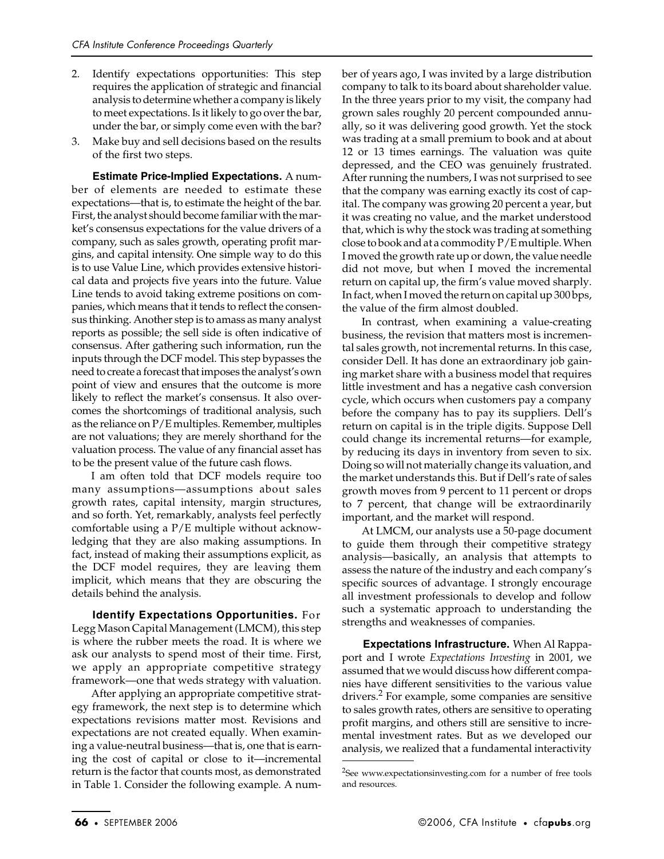- 2. Identify expectations opportunities: This step requires the application of strategic and financial analysis to determine whether a company is likely to meet expectations. Is it likely to go over the bar, under the bar, or simply come even with the bar?
- 3. Make buy and sell decisions based on the results of the first two steps.

**Estimate Price-Implied Expectations.** A number of elements are needed to estimate these expectations—that is, to estimate the height of the bar. First, the analyst should become familiar with the market's consensus expectations for the value drivers of a company, such as sales growth, operating profit margins, and capital intensity. One simple way to do this is to use Value Line, which provides extensive historical data and projects five years into the future. Value Line tends to avoid taking extreme positions on companies, which means that it tends to reflect the consensus thinking. Another step is to amass as many analyst reports as possible; the sell side is often indicative of consensus. After gathering such information, run the inputs through the DCF model. This step bypasses the need to create a forecast that imposes the analyst's own point of view and ensures that the outcome is more likely to reflect the market's consensus. It also overcomes the shortcomings of traditional analysis, such as the reliance on P/E multiples. Remember, multiples are not valuations; they are merely shorthand for the valuation process. The value of any financial asset has to be the present value of the future cash flows.

I am often told that DCF models require too many assumptions—assumptions about sales growth rates, capital intensity, margin structures, and so forth. Yet, remarkably, analysts feel perfectly comfortable using a P/E multiple without acknowledging that they are also making assumptions. In fact, instead of making their assumptions explicit, as the DCF model requires, they are leaving them implicit, which means that they are obscuring the details behind the analysis.

**Identify Expectations Opportunities.** For Legg Mason Capital Management (LMCM), this step is where the rubber meets the road. It is where we ask our analysts to spend most of their time. First, we apply an appropriate competitive strategy framework—one that weds strategy with valuation.

After applying an appropriate competitive strategy framework, the next step is to determine which expectations revisions matter most. Revisions and expectations are not created equally. When examining a value-neutral business—that is, one that is earning the cost of capital or close to it—incremental return is the factor that counts most, as demonstrated in Table 1. Consider the following example. A num-

ber of years ago, I was invited by a large distribution company to talk to its board about shareholder value. In the three years prior to my visit, the company had grown sales roughly 20 percent compounded annually, so it was delivering good growth. Yet the stock was trading at a small premium to book and at about 12 or 13 times earnings. The valuation was quite depressed, and the CEO was genuinely frustrated. After running the numbers, I was not surprised to see that the company was earning exactly its cost of capital. The company was growing 20 percent a year, but it was creating no value, and the market understood that, which is why the stock was trading at something close to book and at a commodity P/E multiple. When I moved the growth rate up or down, the value needle did not move, but when I moved the incremental return on capital up, the firm's value moved sharply. In fact, when I moved the return on capital up 300 bps, the value of the firm almost doubled.

In contrast, when examining a value-creating business, the revision that matters most is incremental sales growth, not incremental returns. In this case, consider Dell. It has done an extraordinary job gaining market share with a business model that requires little investment and has a negative cash conversion cycle, which occurs when customers pay a company before the company has to pay its suppliers. Dell's return on capital is in the triple digits. Suppose Dell could change its incremental returns—for example, by reducing its days in inventory from seven to six. Doing so will not materially change its valuation, and the market understands this. But if Dell's rate of sales growth moves from 9 percent to 11 percent or drops to 7 percent, that change will be extraordinarily important, and the market will respond.

At LMCM, our analysts use a 50-page document to guide them through their competitive strategy analysis—basically, an analysis that attempts to assess the nature of the industry and each company's specific sources of advantage. I strongly encourage all investment professionals to develop and follow such a systematic approach to understanding the strengths and weaknesses of companies.

**Expectations Infrastructure.** When Al Rappaport and I wrote *Expectations Investing* in 2001, we assumed that we would discuss how different companies have different sensitivities to the various value drivers.2 For example, some companies are sensitive to sales growth rates, others are sensitive to operating profit margins, and others still are sensitive to incremental investment rates. But as we developed our analysis, we realized that a fundamental interactivity

<sup>&</sup>lt;sup>2</sup>See www.expectationsinvesting.com for a number of free tools and resources.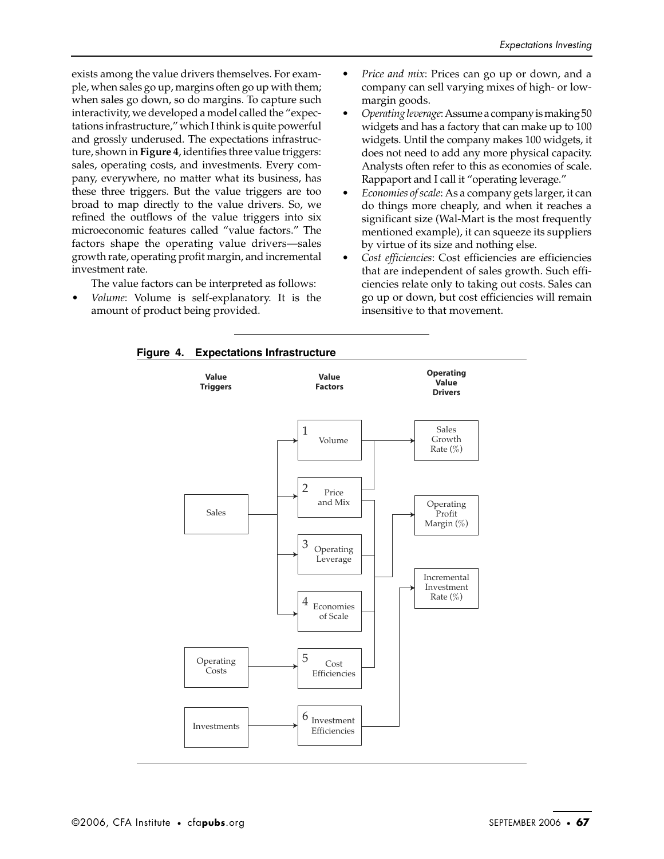exists among the value drivers themselves. For example, when sales go up, margins often go up with them; when sales go down, so do margins. To capture such interactivity, we developed a model called the "expectations infrastructure," which I think is quite powerful and grossly underused. The expectations infrastructure, shown in **Figure 4**, identifies three value triggers: sales, operating costs, and investments. Every company, everywhere, no matter what its business, has these three triggers. But the value triggers are too broad to map directly to the value drivers. So, we refined the outflows of the value triggers into six microeconomic features called "value factors." The factors shape the operating value drivers—sales growth rate, operating profit margin, and incremental investment rate.

The value factors can be interpreted as follows:

• *Volume*: Volume is self-explanatory. It is the amount of product being provided.

- *Price and mix*: Prices can go up or down, and a company can sell varying mixes of high- or lowmargin goods.
- *Operating leverage*: Assume a company is making 50 widgets and has a factory that can make up to 100 widgets. Until the company makes 100 widgets, it does not need to add any more physical capacity. Analysts often refer to this as economies of scale. Rappaport and I call it "operating leverage."
- *Economies of scale*: As a company gets larger, it can do things more cheaply, and when it reaches a significant size (Wal-Mart is the most frequently mentioned example), it can squeeze its suppliers by virtue of its size and nothing else.
- *Cost efficiencies*: Cost efficiencies are efficiencies that are independent of sales growth. Such efficiencies relate only to taking out costs. Sales can go up or down, but cost efficiencies will remain insensitive to that movement.



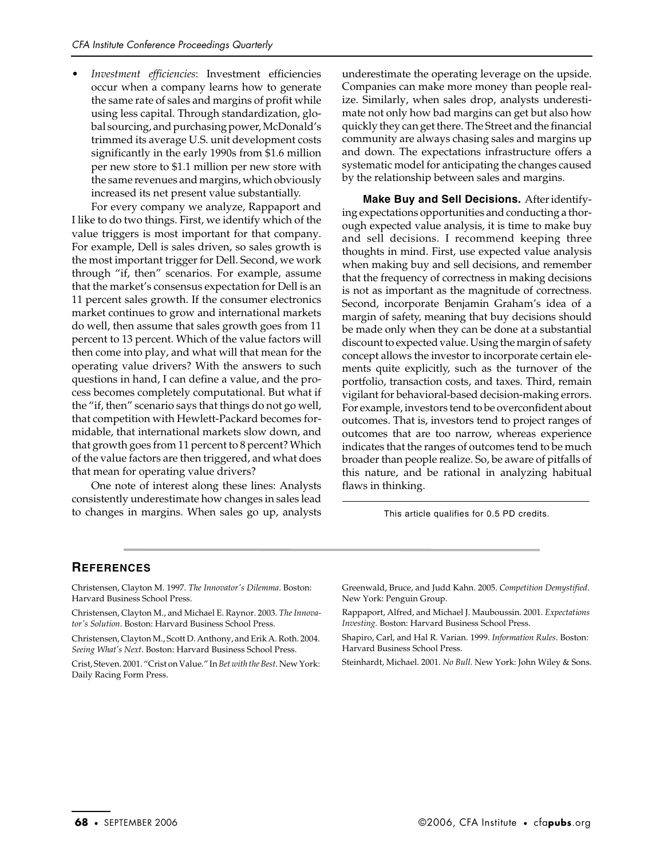• *Investment efficiencies*: Investment efficiencies occur when a company learns how to generate the same rate of sales and margins of profit while using less capital. Through standardization, global sourcing, and purchasing power, McDonald's trimmed its average U.S. unit development costs significantly in the early 1990s from \$1.6 million per new store to \$1.1 million per new store with the same revenues and margins, which obviously increased its net present value substantially.

For every company we analyze, Rappaport and I like to do two things. First, we identify which of the value triggers is most important for that company. For example, Dell is sales driven, so sales growth is the most important trigger for Dell. Second, we work through "if, then" scenarios. For example, assume that the market's consensus expectation for Dell is an 11 percent sales growth. If the consumer electronics market continues to grow and international markets do well, then assume that sales growth goes from 11 percent to 13 percent. Which of the value factors will then come into play, and what will that mean for the operating value drivers? With the answers to such questions in hand, I can define a value, and the process becomes completely computational. But what if the "if, then" scenario says that things do not go well, that competition with Hewlett-Packard becomes formidable, that international markets slow down, and that growth goes from 11 percent to 8 percent? Which of the value factors are then triggered, and what does that mean for operating value drivers?

One note of interest along these lines: Analysts consistently underestimate how changes in sales lead to changes in margins. When sales go up, analysts underestimate the operating leverage on the upside. Companies can make more money than people realize. Similarly, when sales drop, analysts underestimate not only how bad margins can get but also how quickly they can get there. The Street and the financial community are always chasing sales and margins up and down. The expectations infrastructure offers a systematic model for anticipating the changes caused by the relationship between sales and margins.

**Make Buy and Sell Decisions.** After identifying expectations opportunities and conducting a thorough expected value analysis, it is time to make buy and sell decisions. I recommend keeping three thoughts in mind. First, use expected value analysis when making buy and sell decisions, and remember that the frequency of correctness in making decisions is not as important as the magnitude of correctness. Second, incorporate Benjamin Graham's idea of a margin of safety, meaning that buy decisions should be made only when they can be done at a substantial discount to expected value. Using the margin of safety concept allows the investor to incorporate certain elements quite explicitly, such as the turnover of the portfolio, transaction costs, and taxes. Third, remain vigilant for behavioral-based decision-making errors. For example, investors tend to be overconfident about outcomes. That is, investors tend to project ranges of outcomes that are too narrow, whereas experience indicates that the ranges of outcomes tend to be much broader than people realize. So, be aware of pitfalls of this nature, and be rational in analyzing habitual flaws in thinking.

This article qualifies for 0.5 PD credits.

### **REFERENCES**

Christensen, Clayton M. 1997. *The Innovator's Dilemma*. Boston: Harvard Business School Press.

Christensen, Clayton M., and Michael E. Raynor. 2003. *The Innovator's Solution*. Boston: Harvard Business School Press.

Christensen, Clayton M., Scott D. Anthony, and Erik A. Roth. 2004. *Seeing What's Next*. Boston: Harvard Business School Press.

Crist, Steven. 2001. "Crist on Value." In *Bet with the Best*. New York: Daily Racing Form Press.

Greenwald, Bruce, and Judd Kahn. 2005. *Competition Demystified*. New York: Penguin Group.

Rappaport, Alfred, and Michael J. Mauboussin. 2001. *Expectations Investing.* Boston: Harvard Business School Press.

Shapiro, Carl, and Hal R. Varian. 1999. *Information Rules*. Boston: Harvard Business School Press.

Steinhardt, Michael. 2001. *No Bull*. New York: John Wiley & Sons.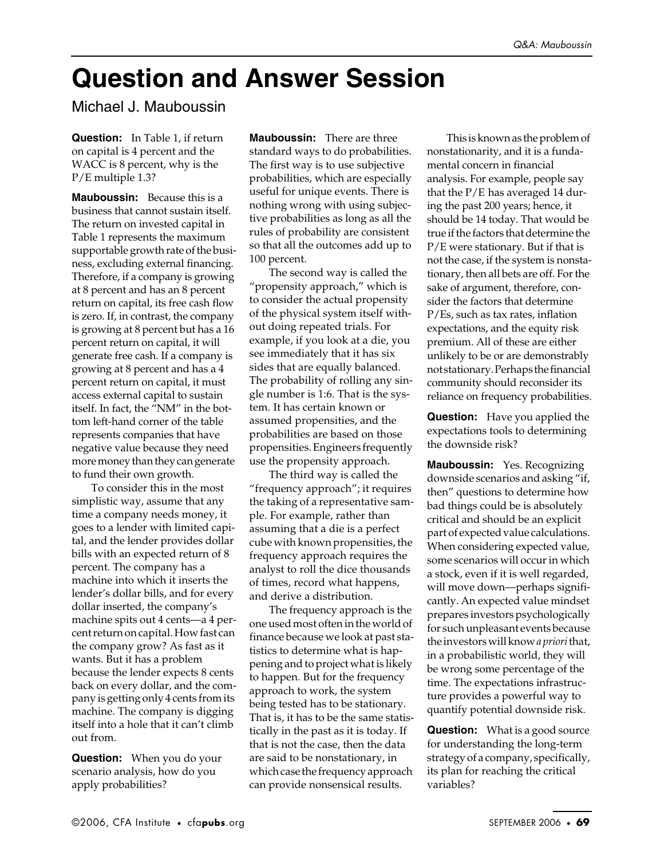## **Question and Answer Session**

Michael J. Mauboussin

**Question:** In Table 1, if return on capital is 4 percent and the WACC is 8 percent, why is the P/E multiple 1.3?

**Mauboussin:** Because this is a business that cannot sustain itself. The return on invested capital in Table 1 represents the maximum supportable growth rate of the business, excluding external financing. Therefore, if a company is growing at 8 percent and has an 8 percent return on capital, its free cash flow is zero. If, in contrast, the company is growing at 8 percent but has a 16 percent return on capital, it will generate free cash. If a company is growing at 8 percent and has a 4 percent return on capital, it must access external capital to sustain itself. In fact, the "NM" in the bottom left-hand corner of the table represents companies that have negative value because they need more money than they can generate to fund their own growth.

To consider this in the most simplistic way, assume that any time a company needs money, it goes to a lender with limited capital, and the lender provides dollar bills with an expected return of 8 percent. The company has a machine into which it inserts the lender's dollar bills, and for every dollar inserted, the company's machine spits out 4 cents—a 4 percent return on capital. How fast can the company grow? As fast as it wants. But it has a problem because the lender expects 8 cents back on every dollar, and the company is getting only 4 cents from its machine. The company is digging itself into a hole that it can't climb out from.

**Question:** When you do your scenario analysis, how do you apply probabilities?

**Mauboussin:** There are three standard ways to do probabilities. The first way is to use subjective probabilities, which are especially useful for unique events. There is nothing wrong with using subjective probabilities as long as all the rules of probability are consistent so that all the outcomes add up to 100 percent.

The second way is called the "propensity approach," which is to consider the actual propensity of the physical system itself without doing repeated trials. For example, if you look at a die, you see immediately that it has six sides that are equally balanced. The probability of rolling any single number is 1:6. That is the system. It has certain known or assumed propensities, and the probabilities are based on those propensities. Engineers frequently use the propensity approach.

The third way is called the "frequency approach"; it requires the taking of a representative sample. For example, rather than assuming that a die is a perfect cube with known propensities, the frequency approach requires the analyst to roll the dice thousands of times, record what happens, and derive a distribution.

The frequency approach is the one used most often in the world of finance because we look at past statistics to determine what is happening and to project what is likely to happen. But for the frequency approach to work, the system being tested has to be stationary. That is, it has to be the same statistically in the past as it is today. If that is not the case, then the data are said to be nonstationary, in which case the frequency approach can provide nonsensical results.

This is known as the problem of nonstationarity, and it is a fundamental concern in financial analysis. For example, people say that the P/E has averaged 14 during the past 200 years; hence, it should be 14 today. That would be true if the factors that determine the P/E were stationary. But if that is not the case, if the system is nonstationary, then all bets are off. For the sake of argument, therefore, consider the factors that determine P/Es, such as tax rates, inflation expectations, and the equity risk premium. All of these are either unlikely to be or are demonstrably not stationary. Perhaps the financial community should reconsider its reliance on frequency probabilities.

**Question:** Have you applied the expectations tools to determining the downside risk?

**Mauboussin:** Yes. Recognizing downside scenarios and asking "if, then" questions to determine how bad things could be is absolutely critical and should be an explicit part of expected value calculations. When considering expected value, some scenarios will occur in which a stock, even if it is well regarded, will move down—perhaps significantly. An expected value mindset prepares investors psychologically for such unpleasant events because the investors will know *a priori* that, in a probabilistic world, they will be wrong some percentage of the time. The expectations infrastructure provides a powerful way to quantify potential downside risk.

**Question:** What is a good source for understanding the long-term strategy of a company, specifically, its plan for reaching the critical variables?